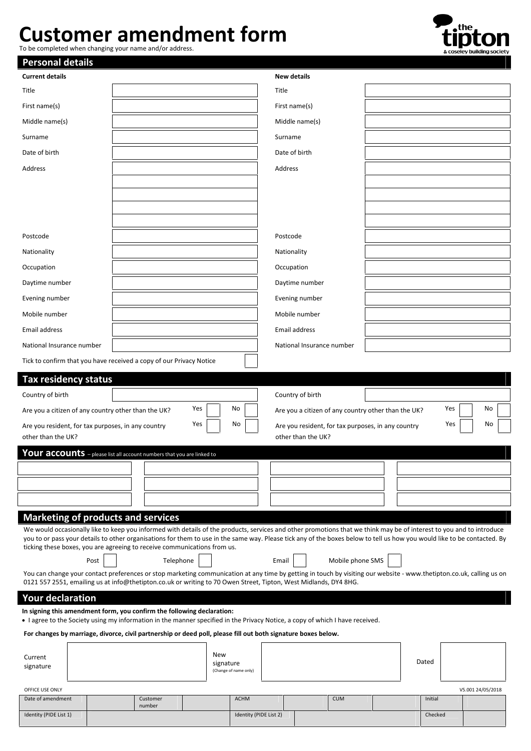# **Customer amendment form**

| To be completed when changing your name and/or address.                                                       |                    |                  |                       |                                                                                                                                                                          |         | upton<br>& coseley building society |
|---------------------------------------------------------------------------------------------------------------|--------------------|------------------|-----------------------|--------------------------------------------------------------------------------------------------------------------------------------------------------------------------|---------|-------------------------------------|
| <b>Personal details</b>                                                                                       |                    |                  |                       |                                                                                                                                                                          |         |                                     |
| <b>Current details</b>                                                                                        |                    |                  |                       | <b>New details</b>                                                                                                                                                       |         |                                     |
| Title                                                                                                         |                    |                  |                       | Title                                                                                                                                                                    |         |                                     |
| First name(s)                                                                                                 |                    |                  |                       | First name(s)                                                                                                                                                            |         |                                     |
| Middle name(s)                                                                                                |                    |                  |                       | Middle name(s)                                                                                                                                                           |         |                                     |
| Surname                                                                                                       |                    |                  |                       | Surname                                                                                                                                                                  |         |                                     |
| Date of birth                                                                                                 |                    |                  |                       | Date of birth                                                                                                                                                            |         |                                     |
| Address                                                                                                       |                    |                  |                       | <b>Address</b>                                                                                                                                                           |         |                                     |
|                                                                                                               |                    |                  |                       |                                                                                                                                                                          |         |                                     |
|                                                                                                               |                    |                  |                       |                                                                                                                                                                          |         |                                     |
|                                                                                                               |                    |                  |                       |                                                                                                                                                                          |         |                                     |
|                                                                                                               |                    |                  |                       |                                                                                                                                                                          |         |                                     |
| Postcode                                                                                                      |                    |                  |                       | Postcode                                                                                                                                                                 |         |                                     |
| Nationality                                                                                                   |                    |                  |                       | Nationality                                                                                                                                                              |         |                                     |
| Occupation                                                                                                    |                    |                  |                       | Occupation                                                                                                                                                               |         |                                     |
| Daytime number                                                                                                |                    |                  |                       | Daytime number                                                                                                                                                           |         |                                     |
| Evening number                                                                                                |                    |                  |                       | Evening number                                                                                                                                                           |         |                                     |
| Mobile number                                                                                                 |                    |                  |                       | Mobile number                                                                                                                                                            |         |                                     |
| Email address                                                                                                 |                    |                  |                       | Email address                                                                                                                                                            |         |                                     |
| National Insurance number                                                                                     |                    |                  |                       | National Insurance number                                                                                                                                                |         |                                     |
| Tick to confirm that you have received a copy of our Privacy Notice                                           |                    |                  |                       |                                                                                                                                                                          |         |                                     |
| <b>Tax residency status</b>                                                                                   |                    |                  |                       |                                                                                                                                                                          |         |                                     |
| Country of birth                                                                                              |                    |                  |                       | Country of birth                                                                                                                                                         |         |                                     |
| Are you a citizen of any country other than the UK?                                                           |                    | Yes              | No                    | Are you a citizen of any country other than the UK?                                                                                                                      |         | Yes<br>No                           |
| Are you resident, for tax purposes, in any country                                                            |                    | Yes              | No                    | Are you resident, for tax purposes, in any country                                                                                                                       |         | No<br>Yes                           |
| other than the UK?                                                                                            |                    |                  |                       | other than the UK?                                                                                                                                                       |         |                                     |
| Your accounts - please list all account numbers that you are linked to                                        |                    |                  |                       |                                                                                                                                                                          |         |                                     |
|                                                                                                               |                    |                  |                       |                                                                                                                                                                          |         |                                     |
|                                                                                                               |                    |                  |                       |                                                                                                                                                                          |         |                                     |
|                                                                                                               |                    |                  |                       |                                                                                                                                                                          |         |                                     |
| <b>Marketing of products and services</b>                                                                     |                    |                  |                       |                                                                                                                                                                          |         |                                     |
|                                                                                                               |                    |                  |                       | We would occasionally like to keep you informed with details of the products, services and other promotions that we think may be of interest to you and to introduce     |         |                                     |
| ticking these boxes, you are agreeing to receive communications from us.                                      |                    |                  |                       | you to or pass your details to other organisations for them to use in the same way. Please tick any of the boxes below to tell us how you would like to be contacted. By |         |                                     |
| Post                                                                                                          |                    | Telephone        |                       | Mobile phone SMS<br>Email                                                                                                                                                |         |                                     |
|                                                                                                               |                    |                  |                       | You can change your contact preferences or stop marketing communication at any time by getting in touch by visiting our website - www.thetipton.co.uk, calling us on     |         |                                     |
|                                                                                                               |                    |                  |                       | 0121 557 2551, emailing us at info@thetipton.co.uk or writing to 70 Owen Street, Tipton, West Midlands, DY4 8HG.                                                         |         |                                     |
| <b>Your declaration</b>                                                                                       |                    |                  |                       |                                                                                                                                                                          |         |                                     |
| In signing this amendment form, you confirm the following declaration:                                        |                    |                  |                       | • I agree to the Society using my information in the manner specified in the Privacy Notice, a copy of which I have received.                                            |         |                                     |
| For changes by marriage, divorce, civil partnership or deed poll, please fill out both signature boxes below. |                    |                  |                       |                                                                                                                                                                          |         |                                     |
|                                                                                                               |                    |                  |                       |                                                                                                                                                                          |         |                                     |
| Current                                                                                                       |                    | New<br>signature |                       |                                                                                                                                                                          | Dated   |                                     |
| signature                                                                                                     |                    |                  | (Change of name only) |                                                                                                                                                                          |         |                                     |
| OFFICE USE ONLY                                                                                               |                    |                  |                       |                                                                                                                                                                          |         | V5.001 24/05/2018                   |
| Date of amendment                                                                                             | Customer<br>number |                  | <b>ACHM</b>           | <b>CUM</b>                                                                                                                                                               | Initial |                                     |

|                        | number |                        |  |         |  |
|------------------------|--------|------------------------|--|---------|--|
| Identity (PIDE List 1) |        | Identity (PIDE List 2) |  | Checked |  |
|                        |        |                        |  |         |  |